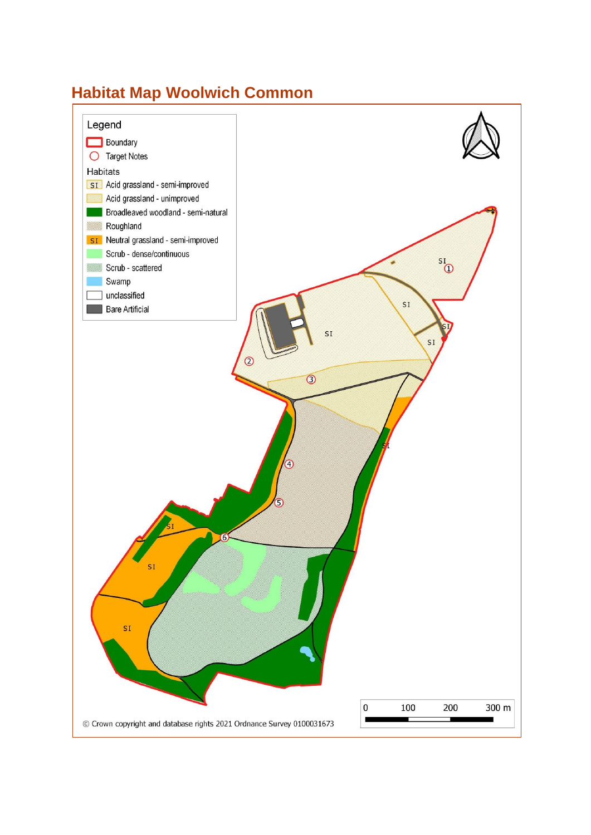## **Habitat Map Woolwich Common**

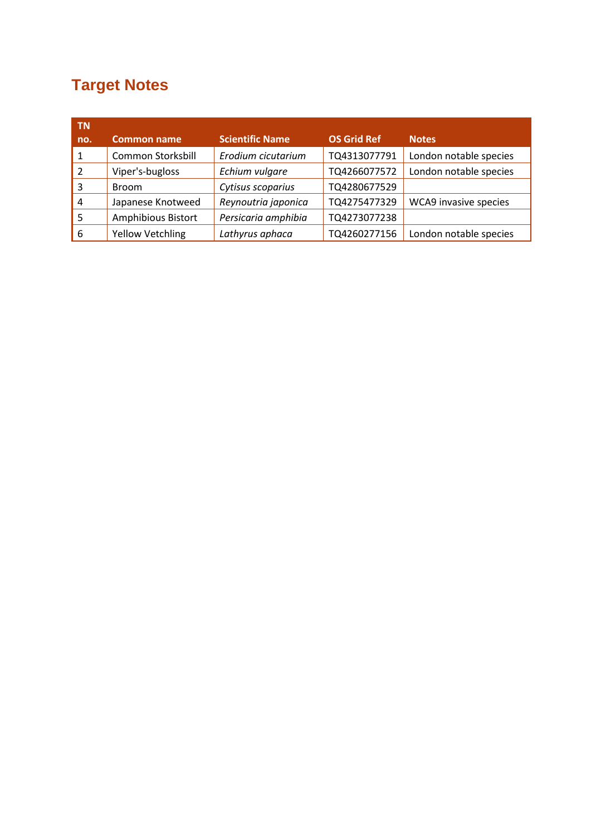# **Target Notes**

| <b>TN</b> |                         |                        |                    |                        |
|-----------|-------------------------|------------------------|--------------------|------------------------|
| no.       | <b>Common name</b>      | <b>Scientific Name</b> | <b>OS Grid Ref</b> | Notes                  |
|           | Common Storksbill       | Erodium cicutarium     | TQ4313077791       | London notable species |
|           | Viper's-bugloss         | Echium vulgare         | TQ4266077572       | London notable species |
| 3         | <b>Broom</b>            | Cytisus scoparius      | TQ4280677529       |                        |
| 4         | Japanese Knotweed       | Reynoutria japonica    | TQ4275477329       | WCA9 invasive species  |
| 5         | Amphibious Bistort      | Persicaria amphibia    | TQ4273077238       |                        |
| 6         | <b>Yellow Vetchling</b> | Lathyrus aphaca        | TQ4260277156       | London notable species |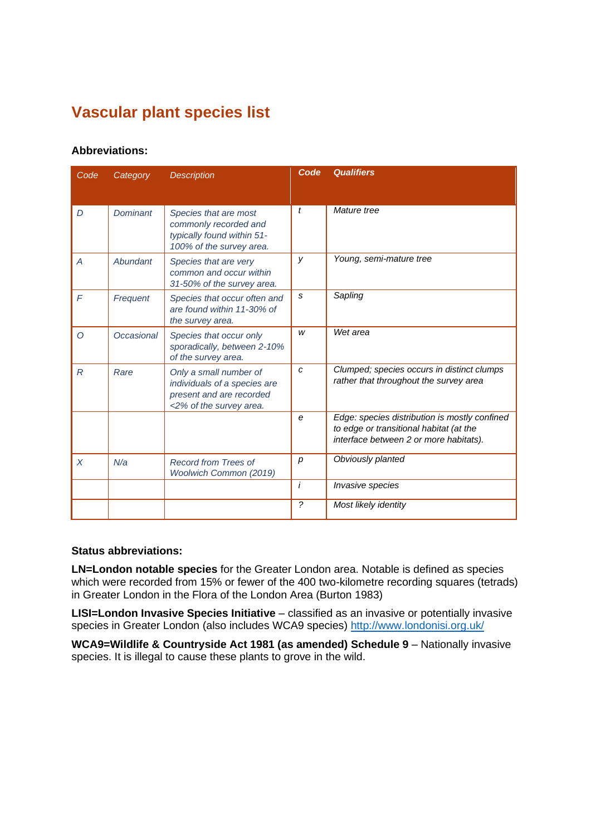## **Vascular plant species list**

#### **Abbreviations:**

| Code         | Category   | <b>Description</b>                                                                                            | Code          | <b>Qualifiers</b>                                                                                                                  |
|--------------|------------|---------------------------------------------------------------------------------------------------------------|---------------|------------------------------------------------------------------------------------------------------------------------------------|
|              |            |                                                                                                               |               |                                                                                                                                    |
| D            | Dominant   | Species that are most<br>commonly recorded and<br>typically found within 51-<br>100% of the survey area.      | t             | Mature tree                                                                                                                        |
| Α            | Abundant   | Species that are very<br>common and occur within<br>31-50% of the survey area.                                | y             | Young, semi-mature tree                                                                                                            |
| F            | Frequent   | Species that occur often and<br>are found within 11-30% of<br>the survey area.                                | s             | Sapling                                                                                                                            |
| $\circ$      | Occasional | Species that occur only<br>sporadically, between 2-10%<br>of the survey area.                                 | W             | Wet area                                                                                                                           |
| $\mathsf{R}$ | Rare       | Only a small number of<br>individuals of a species are<br>present and are recorded<br><2% of the survey area. | $\mathcal{C}$ | Clumped; species occurs in distinct clumps<br>rather that throughout the survey area                                               |
|              |            |                                                                                                               | e             | Edge: species distribution is mostly confined<br>to edge or transitional habitat (at the<br>interface between 2 or more habitats). |
| X            | N/a        | <b>Record from Trees of</b><br>Woolwich Common (2019)                                                         | р             | Obviously planted                                                                                                                  |
|              |            |                                                                                                               | i             | Invasive species                                                                                                                   |
|              |            |                                                                                                               | $\tilde{z}$   | Most likely identity                                                                                                               |

#### **Status abbreviations:**

**LN=London notable species** for the Greater London area. Notable is defined as species which were recorded from 15% or fewer of the 400 two-kilometre recording squares (tetrads) in Greater London in the Flora of the London Area (Burton 1983)

**LISI=London Invasive Species Initiative** – classified as an invasive or potentially invasive species in Greater London (also includes WCA9 species) <http://www.londonisi.org.uk/>

**WCA9=Wildlife & Countryside Act 1981 (as amended) Schedule 9** – Nationally invasive species. It is illegal to cause these plants to grove in the wild.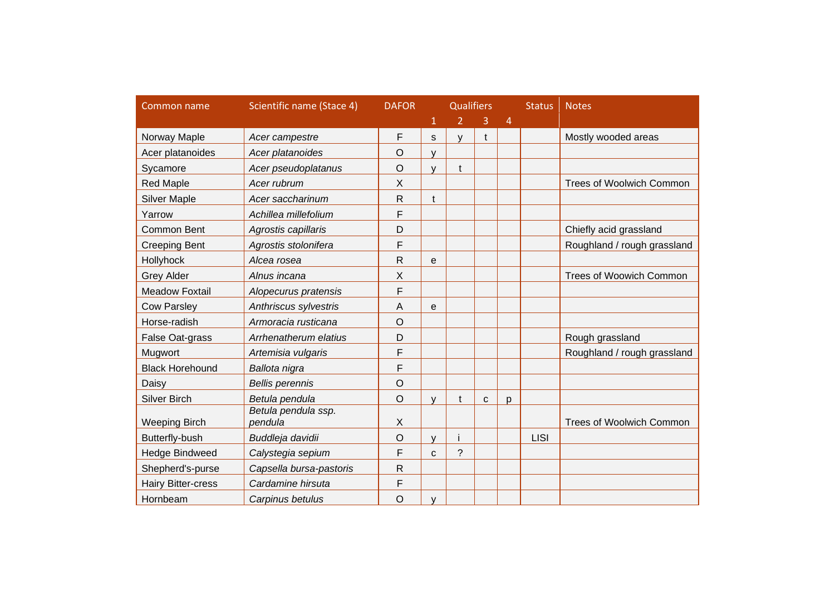| Common name               | Scientific name (Stace 4)      | <b>DAFOR</b>              |              | <b>Qualifiers</b> |   |                | <b>Status</b> | <b>Notes</b>                    |  |
|---------------------------|--------------------------------|---------------------------|--------------|-------------------|---|----------------|---------------|---------------------------------|--|
|                           |                                |                           | $\mathbf{1}$ | $\overline{2}$    | 3 | $\overline{4}$ |               |                                 |  |
| Norway Maple              | Acer campestre                 | F                         | s            | $\mathsf{V}$      |   |                |               | Mostly wooded areas             |  |
| Acer platanoides          | Acer platanoides               | $\circ$                   | v            |                   |   |                |               |                                 |  |
| Sycamore                  | Acer pseudoplatanus            | $\circ$                   | v            | t                 |   |                |               |                                 |  |
| <b>Red Maple</b>          | Acer rubrum                    | Χ                         |              |                   |   |                |               | <b>Trees of Woolwich Common</b> |  |
| <b>Silver Maple</b>       | Acer saccharinum               | R                         | t            |                   |   |                |               |                                 |  |
| Yarrow                    | Achillea millefolium           | F                         |              |                   |   |                |               |                                 |  |
| <b>Common Bent</b>        | Agrostis capillaris            | D                         |              |                   |   |                |               | Chiefly acid grassland          |  |
| <b>Creeping Bent</b>      | Agrostis stolonifera           | F                         |              |                   |   |                |               | Roughland / rough grassland     |  |
| Hollyhock                 | Alcea rosea                    | R                         | $\mathbf{e}$ |                   |   |                |               |                                 |  |
| <b>Grey Alder</b>         | Alnus incana                   | X                         |              |                   |   |                |               | Trees of Woowich Common         |  |
| <b>Meadow Foxtail</b>     | Alopecurus pratensis           | F                         |              |                   |   |                |               |                                 |  |
| <b>Cow Parsley</b>        | Anthriscus sylvestris          | A                         | e            |                   |   |                |               |                                 |  |
| Horse-radish              | Armoracia rusticana            | $\circ$                   |              |                   |   |                |               |                                 |  |
| False Oat-grass           | Arrhenatherum elatius          | D                         |              |                   |   |                |               | Rough grassland                 |  |
| Mugwort                   | Artemisia vulgaris             | F                         |              |                   |   |                |               | Roughland / rough grassland     |  |
| <b>Black Horehound</b>    | Ballota nigra                  | F                         |              |                   |   |                |               |                                 |  |
| Daisy                     | Bellis perennis                | $\circ$                   |              |                   |   |                |               |                                 |  |
| <b>Silver Birch</b>       | Betula pendula                 | $\circ$                   | $\mathsf{V}$ | t                 | C | p              |               |                                 |  |
| <b>Weeping Birch</b>      | Betula pendula ssp.<br>pendula | $\boldsymbol{\mathsf{X}}$ |              |                   |   |                |               | <b>Trees of Woolwich Common</b> |  |
| Butterfly-bush            | Buddleja davidii               | $\circ$                   | $\mathsf{V}$ |                   |   |                | <b>LISI</b>   |                                 |  |
| <b>Hedge Bindweed</b>     | Calystegia sepium              | F                         | C            | ?                 |   |                |               |                                 |  |
| Shepherd's-purse          | Capsella bursa-pastoris        | $\mathsf R$               |              |                   |   |                |               |                                 |  |
| <b>Hairy Bitter-cress</b> | Cardamine hirsuta              | F                         |              |                   |   |                |               |                                 |  |
| Hornbeam                  | Carpinus betulus               | $\circ$                   | y            |                   |   |                |               |                                 |  |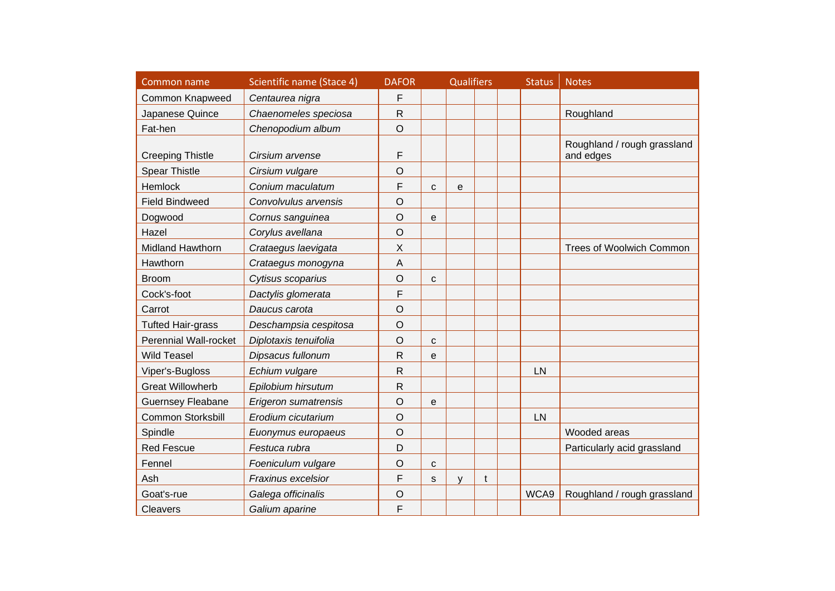| Common name                  | Scientific name (Stace 4) | <b>DAFOR</b> |   | <b>Qualifiers</b> |   | <b>Status</b> | <b>Notes</b>                             |
|------------------------------|---------------------------|--------------|---|-------------------|---|---------------|------------------------------------------|
| <b>Common Knapweed</b>       | Centaurea nigra           | F            |   |                   |   |               |                                          |
| Japanese Quince              | Chaenomeles speciosa      | ${\sf R}$    |   |                   |   |               | Roughland                                |
| Fat-hen                      | Chenopodium album         | $\circ$      |   |                   |   |               |                                          |
| <b>Creeping Thistle</b>      | Cirsium arvense           | F            |   |                   |   |               | Roughland / rough grassland<br>and edges |
| <b>Spear Thistle</b>         | Cirsium vulgare           | $\circ$      |   |                   |   |               |                                          |
| Hemlock                      | Conium maculatum          | F            | C | e                 |   |               |                                          |
| <b>Field Bindweed</b>        | Convolvulus arvensis      | $\circ$      |   |                   |   |               |                                          |
| Dogwood                      | Cornus sanguinea          | $\circ$      | e |                   |   |               |                                          |
| Hazel                        | Corylus avellana          | $\circ$      |   |                   |   |               |                                          |
| Midland Hawthorn             | Crataegus laevigata       | X            |   |                   |   |               | <b>Trees of Woolwich Common</b>          |
| Hawthorn                     | Crataegus monogyna        | A            |   |                   |   |               |                                          |
| <b>Broom</b>                 | Cytisus scoparius         | $\circ$      | C |                   |   |               |                                          |
| Cock's-foot                  | Dactylis glomerata        | F            |   |                   |   |               |                                          |
| Carrot                       | Daucus carota             | $\circ$      |   |                   |   |               |                                          |
| <b>Tufted Hair-grass</b>     | Deschampsia cespitosa     | $\circ$      |   |                   |   |               |                                          |
| <b>Perennial Wall-rocket</b> | Diplotaxis tenuifolia     | $\circ$      | C |                   |   |               |                                          |
| <b>Wild Teasel</b>           | Dipsacus fullonum         | $\mathsf{R}$ | e |                   |   |               |                                          |
| Viper's-Bugloss              | Echium vulgare            | $\mathsf{R}$ |   |                   |   | LN            |                                          |
| <b>Great Willowherb</b>      | Epilobium hirsutum        | $\mathsf{R}$ |   |                   |   |               |                                          |
| Guernsey Fleabane            | Erigeron sumatrensis      | $\circ$      | e |                   |   |               |                                          |
| <b>Common Storksbill</b>     | Erodium cicutarium        | $\circ$      |   |                   |   | LN            |                                          |
| Spindle                      | Euonymus europaeus        | $\circ$      |   |                   |   |               | Wooded areas                             |
| <b>Red Fescue</b>            | Festuca rubra             | D            |   |                   |   |               | Particularly acid grassland              |
| Fennel                       | Foeniculum vulgare        | $\circ$      | C |                   |   |               |                                          |
| Ash                          | Fraxinus excelsior        | F            | S | V                 | t |               |                                          |
| Goat's-rue                   | Galega officinalis        | $\circ$      |   |                   |   | WCA9          | Roughland / rough grassland              |
| Cleavers                     | Galium aparine            | F            |   |                   |   |               |                                          |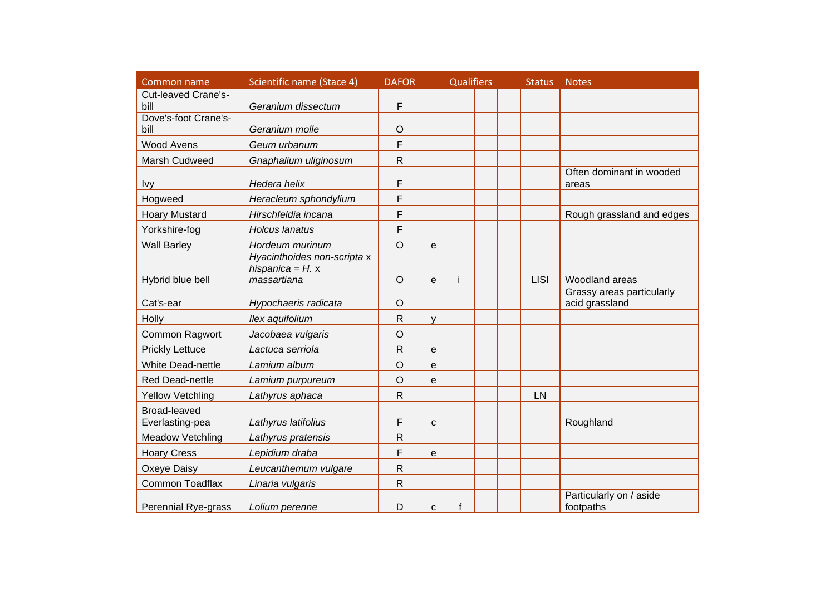| Common name                     | Scientific name (Stace 4)                                         | <b>DAFOR</b> |              | Qualifiers |  | <b>Status</b> | <b>Notes</b>                                |
|---------------------------------|-------------------------------------------------------------------|--------------|--------------|------------|--|---------------|---------------------------------------------|
| Cut-leaved Crane's-             |                                                                   |              |              |            |  |               |                                             |
| bill<br>Dove's-foot Crane's-    | Geranium dissectum                                                | F            |              |            |  |               |                                             |
| bill                            | Geranium molle                                                    | O            |              |            |  |               |                                             |
| <b>Wood Avens</b>               | Geum urbanum                                                      | F            |              |            |  |               |                                             |
| Marsh Cudweed                   | Gnaphalium uliginosum                                             | $\mathsf{R}$ |              |            |  |               |                                             |
| <b>Ivy</b>                      | Hedera helix                                                      | F            |              |            |  |               | Often dominant in wooded<br>areas           |
| Hogweed                         | Heracleum sphondylium                                             | F            |              |            |  |               |                                             |
| <b>Hoary Mustard</b>            | Hirschfeldia incana                                               | F            |              |            |  |               | Rough grassland and edges                   |
| Yorkshire-fog                   | <b>Holcus lanatus</b>                                             | F            |              |            |  |               |                                             |
| <b>Wall Barley</b>              | Hordeum murinum                                                   | $\circ$      | e            |            |  |               |                                             |
| Hybrid blue bell                | Hyacinthoides non-scripta x<br>hispanica = $H$ . x<br>massartiana | $\circ$      | e            |            |  | <b>LISI</b>   | Woodland areas                              |
| Cat's-ear                       | Hypochaeris radicata                                              | $\circ$      |              |            |  |               | Grassy areas particularly<br>acid grassland |
| Holly                           | Ilex aquifolium                                                   | ${\sf R}$    | $\mathsf{V}$ |            |  |               |                                             |
| <b>Common Ragwort</b>           | Jacobaea vulgaris                                                 | $\circ$      |              |            |  |               |                                             |
| <b>Prickly Lettuce</b>          | Lactuca serriola                                                  | $\mathsf{R}$ | $\mathbf{e}$ |            |  |               |                                             |
| <b>White Dead-nettle</b>        | Lamium album                                                      | $\circ$      | e            |            |  |               |                                             |
| <b>Red Dead-nettle</b>          | Lamium purpureum                                                  | $\circ$      | e            |            |  |               |                                             |
| <b>Yellow Vetchling</b>         | Lathyrus aphaca                                                   | $\mathsf{R}$ |              |            |  | LN            |                                             |
| Broad-leaved<br>Everlasting-pea | Lathyrus latifolius                                               | F            | C            |            |  |               | Roughland                                   |
| <b>Meadow Vetchling</b>         | Lathyrus pratensis                                                | $\mathsf{R}$ |              |            |  |               |                                             |
| <b>Hoary Cress</b>              | Lepidium draba                                                    | F            | e            |            |  |               |                                             |
| Oxeye Daisy                     | Leucanthemum vulgare                                              | $\mathsf{R}$ |              |            |  |               |                                             |
| <b>Common Toadflax</b>          | Linaria vulgaris                                                  | $\mathsf{R}$ |              |            |  |               |                                             |
| Perennial Rye-grass             | Lolium perenne                                                    | D            | C            | f          |  |               | Particularly on / aside<br>footpaths        |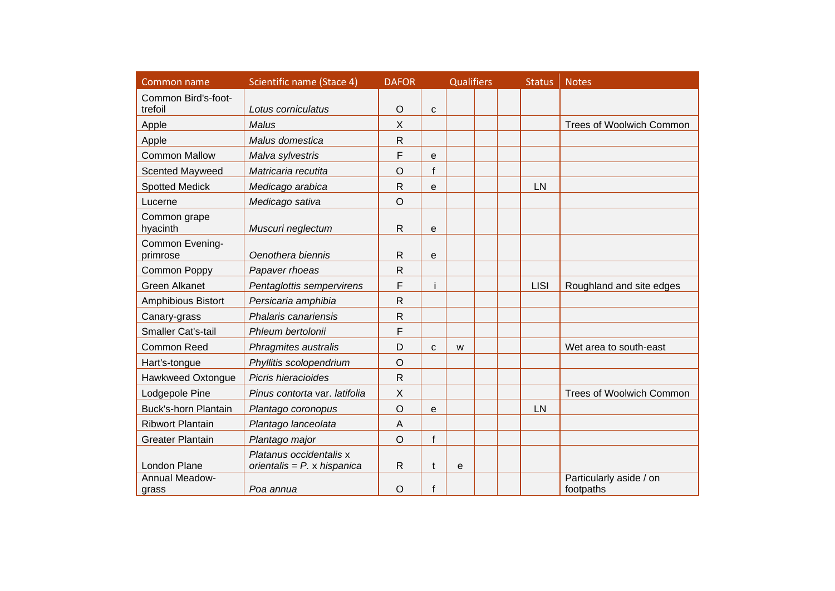| <b>Common name</b>          | Scientific name (Stace 4)                                 | <b>DAFOR</b> |              | <b>Qualifiers</b> |  | <b>Status</b> | <b>Notes</b>                         |
|-----------------------------|-----------------------------------------------------------|--------------|--------------|-------------------|--|---------------|--------------------------------------|
| Common Bird's-foot-         |                                                           |              |              |                   |  |               |                                      |
| trefoil                     | Lotus corniculatus                                        | $\circ$      | $\mathbf C$  |                   |  |               |                                      |
| Apple                       | Malus                                                     | X            |              |                   |  |               | <b>Trees of Woolwich Common</b>      |
| Apple                       | Malus domestica                                           | $\mathsf{R}$ |              |                   |  |               |                                      |
| <b>Common Mallow</b>        | Malva sylvestris                                          | F            | e            |                   |  |               |                                      |
| <b>Scented Mayweed</b>      | Matricaria recutita                                       | O            | f            |                   |  |               |                                      |
| <b>Spotted Medick</b>       | Medicago arabica                                          | $\mathsf{R}$ | e            |                   |  | LN            |                                      |
| Lucerne                     | Medicago sativa                                           | $\circ$      |              |                   |  |               |                                      |
| Common grape<br>hyacinth    | Muscuri neglectum                                         | $\mathsf{R}$ | е            |                   |  |               |                                      |
| Common Evening-<br>primrose | Oenothera biennis                                         | $\mathsf{R}$ | e            |                   |  |               |                                      |
| <b>Common Poppy</b>         | Papaver rhoeas                                            | $\mathsf{R}$ |              |                   |  |               |                                      |
| <b>Green Alkanet</b>        | Pentaglottis sempervirens                                 | F            |              |                   |  | <b>LISI</b>   | Roughland and site edges             |
| Amphibious Bistort          | Persicaria amphibia                                       | $\mathsf{R}$ |              |                   |  |               |                                      |
| Canary-grass                | Phalaris canariensis                                      | $\mathsf{R}$ |              |                   |  |               |                                      |
| <b>Smaller Cat's-tail</b>   | Phleum bertolonii                                         | F            |              |                   |  |               |                                      |
| <b>Common Reed</b>          | Phragmites australis                                      | D            | $\mathbf C$  | W                 |  |               | Wet area to south-east               |
| Hart's-tongue               | Phyllitis scolopendrium                                   | $\circ$      |              |                   |  |               |                                      |
| Hawkweed Oxtongue           | Picris hieracioides                                       | $\mathsf{R}$ |              |                   |  |               |                                      |
| Lodgepole Pine              | Pinus contorta var. latifolia                             | X            |              |                   |  |               | <b>Trees of Woolwich Common</b>      |
| <b>Buck's-horn Plantain</b> | Plantago coronopus                                        | $\circ$      | $\mathbf{e}$ |                   |  | LN            |                                      |
| <b>Ribwort Plantain</b>     | Plantago lanceolata                                       | A            |              |                   |  |               |                                      |
| <b>Greater Plantain</b>     | Plantago major                                            | $\circ$      | f            |                   |  |               |                                      |
| London Plane                | Platanus occidentalis x<br>orientalis = $P$ . x hispanica | $\mathsf{R}$ | t            | e                 |  |               |                                      |
| Annual Meadow-<br>grass     | Poa annua                                                 | $\circ$      | f            |                   |  |               | Particularly aside / on<br>footpaths |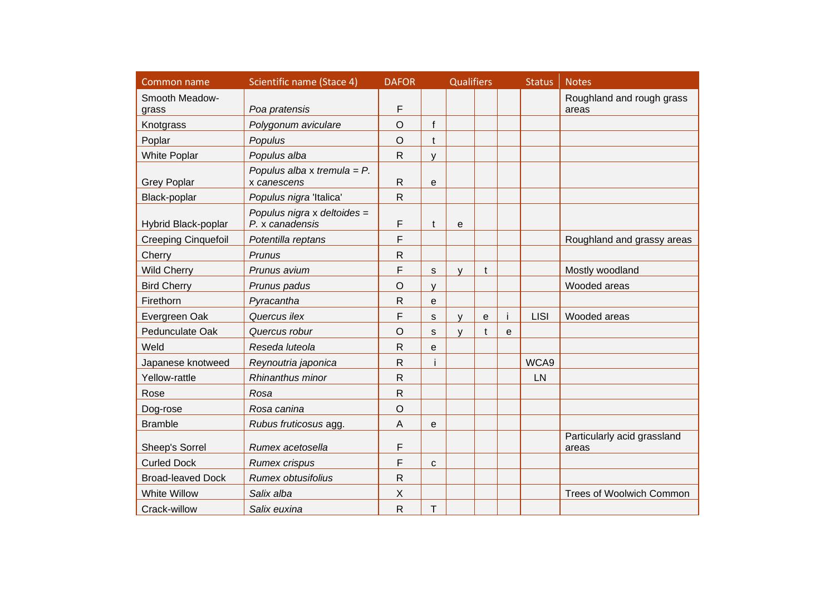| Common name                | Scientific name (Stace 4)                      | <b>DAFOR</b>   |              | <b>Qualifiers</b> |   | <b>Status</b> | <b>Notes</b> |                                      |
|----------------------------|------------------------------------------------|----------------|--------------|-------------------|---|---------------|--------------|--------------------------------------|
| Smooth Meadow-             |                                                |                |              |                   |   |               |              | Roughland and rough grass            |
| grass                      | Poa pratensis                                  | F              |              |                   |   |               |              | areas                                |
| Knotgrass                  | Polygonum aviculare                            | $\overline{O}$ | f            |                   |   |               |              |                                      |
| Poplar                     | Populus                                        | $\circ$        | t            |                   |   |               |              |                                      |
| <b>White Poplar</b>        | Populus alba                                   | $\mathsf{R}$   | $\mathsf{V}$ |                   |   |               |              |                                      |
| <b>Grey Poplar</b>         | Populus alba x tremula = $P$ .<br>x canescens  | $\mathsf R$    | e            |                   |   |               |              |                                      |
| Black-poplar               | Populus nigra 'Italica'                        | $\mathsf{R}$   |              |                   |   |               |              |                                      |
| Hybrid Black-poplar        | Populus nigra x deltoides =<br>P. x canadensis | F              | t            | e                 |   |               |              |                                      |
| <b>Creeping Cinquefoil</b> | Potentilla reptans                             | F              |              |                   |   |               |              | Roughland and grassy areas           |
| Cherry                     | Prunus                                         | $\mathsf{R}$   |              |                   |   |               |              |                                      |
| <b>Wild Cherry</b>         | Prunus avium                                   | F              | s            | V                 | t |               |              | Mostly woodland                      |
| <b>Bird Cherry</b>         | Prunus padus                                   | $\circ$        | V            |                   |   |               |              | Wooded areas                         |
| Firethorn                  | Pyracantha                                     | $\mathsf{R}$   | $\mathbf e$  |                   |   |               |              |                                      |
| Evergreen Oak              | Quercus ilex                                   | F              | S            | v                 | е |               | <b>LISI</b>  | Wooded areas                         |
| Pedunculate Oak            | Quercus robur                                  | $\circ$        | S            | V                 | t | e             |              |                                      |
| Weld                       | Reseda luteola                                 | $\mathsf{R}$   | e            |                   |   |               |              |                                      |
| Japanese knotweed          | Reynoutria japonica                            | $\mathsf{R}$   |              |                   |   |               | WCA9         |                                      |
| Yellow-rattle              | Rhinanthus minor                               | ${\sf R}$      |              |                   |   |               | LN           |                                      |
| Rose                       | Rosa                                           | $\mathsf{R}$   |              |                   |   |               |              |                                      |
| Dog-rose                   | Rosa canina                                    | $\circ$        |              |                   |   |               |              |                                      |
| <b>Bramble</b>             | Rubus fruticosus agg.                          | A              | e            |                   |   |               |              |                                      |
| Sheep's Sorrel             | Rumex acetosella                               | F              |              |                   |   |               |              | Particularly acid grassland<br>areas |
| <b>Curled Dock</b>         | Rumex crispus                                  | F              | $\mathbf C$  |                   |   |               |              |                                      |
| <b>Broad-leaved Dock</b>   | Rumex obtusifolius                             | $\mathsf{R}$   |              |                   |   |               |              |                                      |
| <b>White Willow</b>        | Salix alba                                     | Χ              |              |                   |   |               |              | <b>Trees of Woolwich Common</b>      |
| Crack-willow               | Salix euxina                                   | $\mathsf{R}$   | T            |                   |   |               |              |                                      |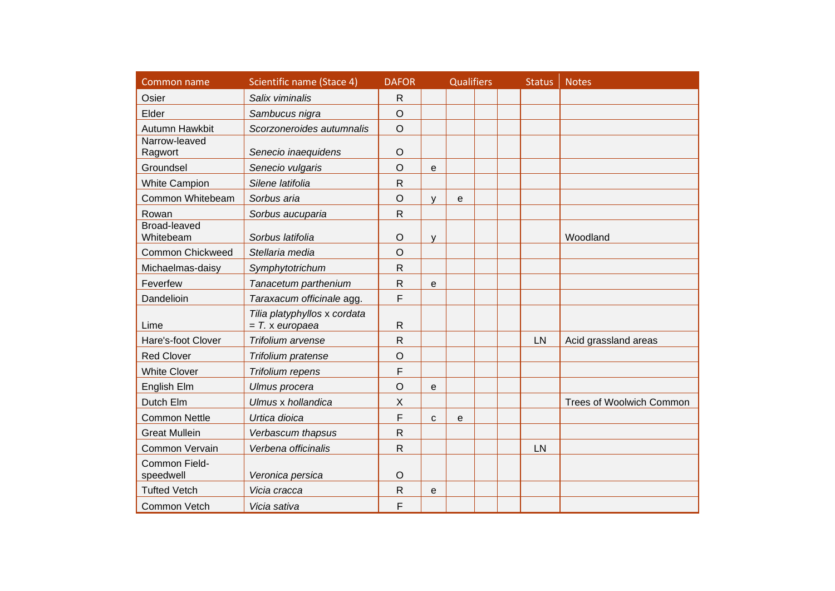| Common name                | Scientific name (Stace 4)                         | <b>DAFOR</b>       |              | <b>Qualifiers</b> |  | <b>Status</b> | <b>Notes</b> |                          |
|----------------------------|---------------------------------------------------|--------------------|--------------|-------------------|--|---------------|--------------|--------------------------|
| Osier                      | Salix viminalis                                   | $\mathsf R$        |              |                   |  |               |              |                          |
| Elder                      | Sambucus nigra                                    | $\circ$            |              |                   |  |               |              |                          |
| Autumn Hawkbit             | Scorzoneroides autumnalis                         | $\circ$            |              |                   |  |               |              |                          |
| Narrow-leaved              |                                                   |                    |              |                   |  |               |              |                          |
| Ragwort<br>Groundsel       | Senecio inaequidens                               | $\circ$<br>$\circ$ |              |                   |  |               |              |                          |
|                            | Senecio vulgaris                                  |                    | $\mathbf{e}$ |                   |  |               |              |                          |
| <b>White Campion</b>       | Silene latifolia                                  | $\mathsf{R}$       |              |                   |  |               |              |                          |
| Common Whitebeam           | Sorbus aria                                       | $\circ$            | V            | e                 |  |               |              |                          |
| Rowan<br>Broad-leaved      | Sorbus aucuparia                                  | $\mathsf{R}$       |              |                   |  |               |              |                          |
| Whitebeam                  | Sorbus latifolia                                  | $\circ$            | $\mathsf{V}$ |                   |  |               |              | Woodland                 |
| <b>Common Chickweed</b>    | Stellaria media                                   | $\circ$            |              |                   |  |               |              |                          |
| Michaelmas-daisy           | Symphytotrichum                                   | $\mathsf{R}$       |              |                   |  |               |              |                          |
| Feverfew                   | Tanacetum parthenium                              | $\mathsf{R}$       | e            |                   |  |               |              |                          |
| Dandelioin                 | Taraxacum officinale agg.                         | F                  |              |                   |  |               |              |                          |
| Lime                       | Tilia platyphyllos x cordata<br>$= T. x$ europaea | $\mathsf{R}$       |              |                   |  |               |              |                          |
| Hare's-foot Clover         | Trifolium arvense                                 | $\mathsf{R}$       |              |                   |  |               | LN           | Acid grassland areas     |
| <b>Red Clover</b>          | Trifolium pratense                                | O                  |              |                   |  |               |              |                          |
| <b>White Clover</b>        | Trifolium repens                                  | F                  |              |                   |  |               |              |                          |
| English Elm                | Ulmus procera                                     | O                  | e            |                   |  |               |              |                          |
| Dutch Elm                  | Ulmus x hollandica                                | X                  |              |                   |  |               |              | Trees of Woolwich Common |
| <b>Common Nettle</b>       | Urtica dioica                                     | F                  | $\mathbf C$  | e                 |  |               |              |                          |
| <b>Great Mullein</b>       | Verbascum thapsus                                 | $\mathsf{R}$       |              |                   |  |               |              |                          |
| <b>Common Vervain</b>      | Verbena officinalis                               | $\mathsf{R}$       |              |                   |  |               | LN           |                          |
| Common Field-<br>speedwell | Veronica persica                                  | $\circ$            |              |                   |  |               |              |                          |
| <b>Tufted Vetch</b>        | Vicia cracca                                      | $\mathsf{R}$       | e            |                   |  |               |              |                          |
| Common Vetch               | Vicia sativa                                      | F                  |              |                   |  |               |              |                          |